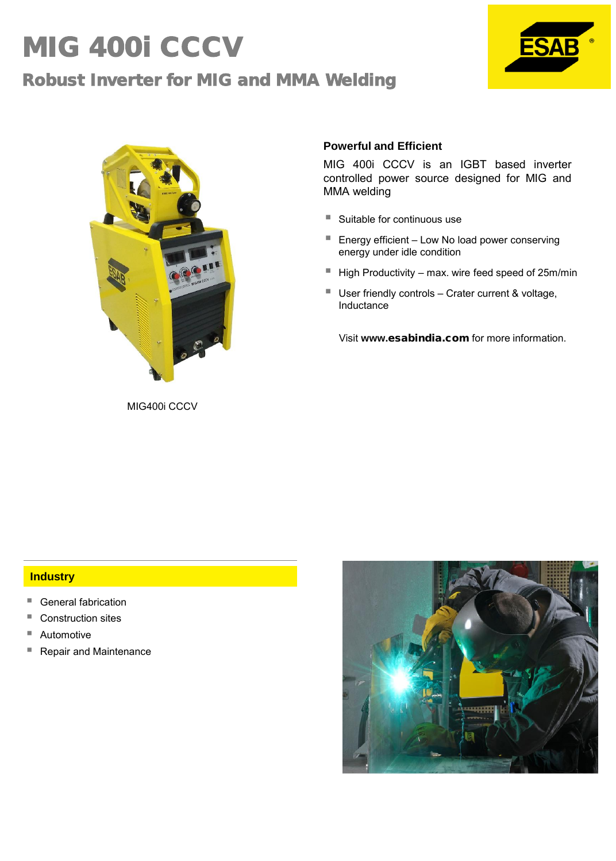# MIG 400i CCCV Robust Inverter for MIG and MMA Welding





### **Powerful and Efficient**

MIG 400i CCCV is an IGBT based inverter controlled power source designed for MIG and MMA welding

- Suitable for continuous use
- Energy efficient Low No load power conserving energy under idle condition
- $\blacksquare$  High Productivity max. wire feed speed of 25m/min
- User friendly controls Crater current & voltage, Inductance

Visit **www.**esabindia.com for more information.

MIG400i CCCV

#### **Industry**

- General fabrication
- Construction sites
- Automotive
- Repair and Maintenance